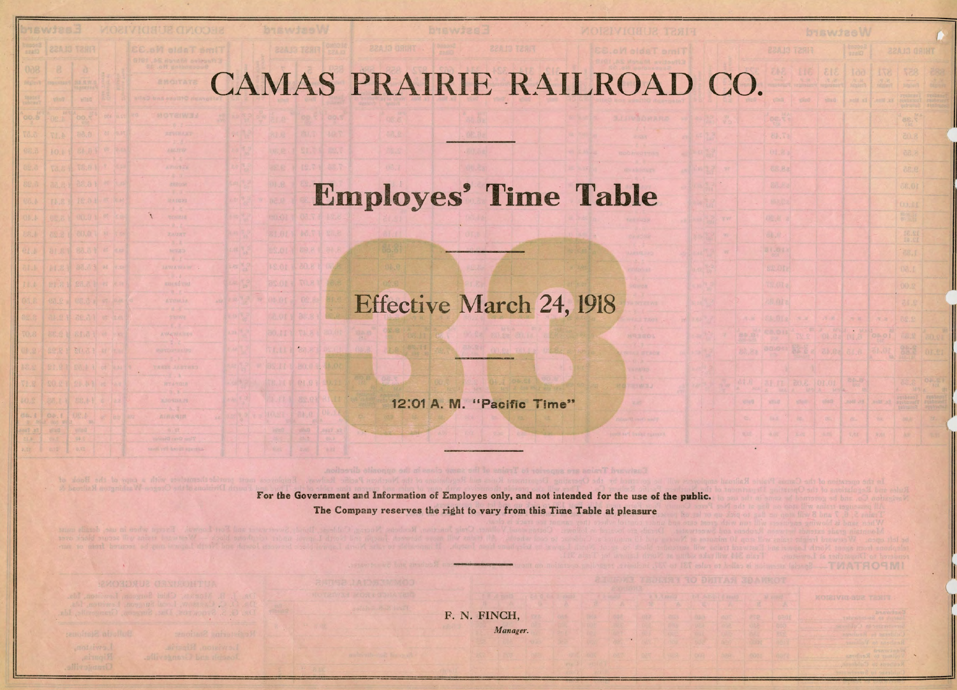## CAMAS PRAIRIE RAILROAD CO.

## Employes' Time Table

## Effective March 24, 1918

12:01 A. M. "Pacific Time"

For the Government and Information of Employes only, and not intended for the use of the public. The Company reserves the right to vary from this Time Table at pleasure

**REDUCE STACK** 

AVANTUAIEN

F. N. FINCH, *Manager.*